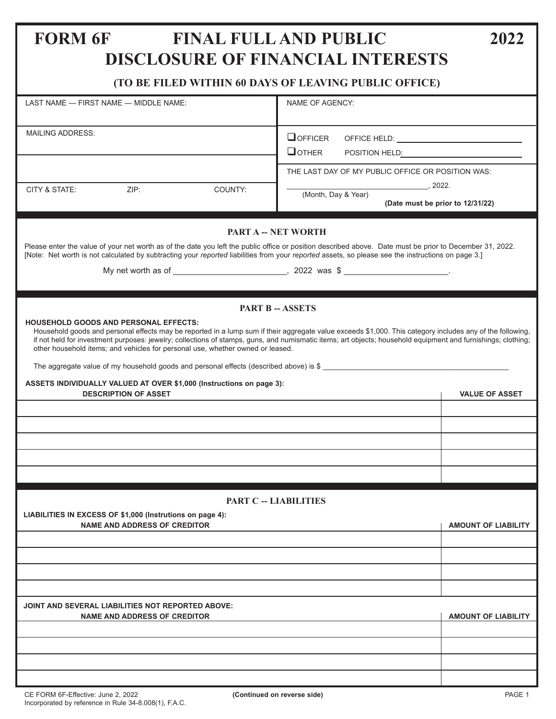# **FORM 6F FINAL FULL AND PUBLIC 2022 DISCLOSURE OF FINANCIAL INTERESTS**

## **(TO BE FILED WITHIN 60 DAYS OF LEAVING PUBLIC OFFICE)**

| $\mathbf{10}$ be included with $\mathbf{00}$ binds of EERV five I CDERC OFFICE                                                                                                                                                                                                                                            |                                                                                                                                                                                                                                                |                                  |  |  |  |
|---------------------------------------------------------------------------------------------------------------------------------------------------------------------------------------------------------------------------------------------------------------------------------------------------------------------------|------------------------------------------------------------------------------------------------------------------------------------------------------------------------------------------------------------------------------------------------|----------------------------------|--|--|--|
| LAST NAME - FIRST NAME - MIDDLE NAME:                                                                                                                                                                                                                                                                                     | NAME OF AGENCY:                                                                                                                                                                                                                                |                                  |  |  |  |
|                                                                                                                                                                                                                                                                                                                           |                                                                                                                                                                                                                                                |                                  |  |  |  |
| <b>MAILING ADDRESS:</b>                                                                                                                                                                                                                                                                                                   | OOFFICER<br>OFFICE HELD: <u>________________________________</u>                                                                                                                                                                               |                                  |  |  |  |
|                                                                                                                                                                                                                                                                                                                           | $\Box$ OTHER<br>POSITION HELD: The contract of the contract of the contract of the contract of the contract of the contract of the contract of the contract of the contract of the contract of the contract of the contract of the contract of |                                  |  |  |  |
|                                                                                                                                                                                                                                                                                                                           |                                                                                                                                                                                                                                                |                                  |  |  |  |
|                                                                                                                                                                                                                                                                                                                           | THE LAST DAY OF MY PUBLIC OFFICE OR POSITION WAS:                                                                                                                                                                                              |                                  |  |  |  |
| CITY & STATE:<br>ZIP:<br>COUNTY:                                                                                                                                                                                                                                                                                          | (Month, Day & Year)                                                                                                                                                                                                                            |                                  |  |  |  |
|                                                                                                                                                                                                                                                                                                                           |                                                                                                                                                                                                                                                | (Date must be prior to 12/31/22) |  |  |  |
|                                                                                                                                                                                                                                                                                                                           |                                                                                                                                                                                                                                                |                                  |  |  |  |
|                                                                                                                                                                                                                                                                                                                           | PART A -- NET WORTH                                                                                                                                                                                                                            |                                  |  |  |  |
| Please enter the value of your net worth as of the date you left the public office or position described above. Date must be prior to December 31, 2022.<br>[Note: Net worth is not calculated by subtracting your reported liabilities from your reported assets, so please see the instructions on page 3.]             |                                                                                                                                                                                                                                                |                                  |  |  |  |
| My net worth as of __________________________________, 2022 was \$ _________________________________                                                                                                                                                                                                                      |                                                                                                                                                                                                                                                |                                  |  |  |  |
|                                                                                                                                                                                                                                                                                                                           |                                                                                                                                                                                                                                                |                                  |  |  |  |
|                                                                                                                                                                                                                                                                                                                           |                                                                                                                                                                                                                                                |                                  |  |  |  |
|                                                                                                                                                                                                                                                                                                                           | <b>PART B - ASSETS</b>                                                                                                                                                                                                                         |                                  |  |  |  |
| <b>HOUSEHOLD GOODS AND PERSONAL EFFECTS:</b>                                                                                                                                                                                                                                                                              |                                                                                                                                                                                                                                                |                                  |  |  |  |
| Household goods and personal effects may be reported in a lump sum if their aggregate value exceeds \$1,000. This category includes any of the following,<br>if not held for investment purposes: jewelry; collections of stamps, guns, and numismatic items; art objects; household equipment and furnishings; clothing; |                                                                                                                                                                                                                                                |                                  |  |  |  |
| other household items; and vehicles for personal use, whether owned or leased.                                                                                                                                                                                                                                            |                                                                                                                                                                                                                                                |                                  |  |  |  |
| The aggregate value of my household goods and personal effects (described above) is \$                                                                                                                                                                                                                                    |                                                                                                                                                                                                                                                |                                  |  |  |  |
| ASSETS INDIVIDUALLY VALUED AT OVER \$1,000 (Instructions on page 3):<br><b>DESCRIPTION OF ASSET</b>                                                                                                                                                                                                                       | <b>VALUE OF ASSET</b>                                                                                                                                                                                                                          |                                  |  |  |  |
|                                                                                                                                                                                                                                                                                                                           |                                                                                                                                                                                                                                                |                                  |  |  |  |
|                                                                                                                                                                                                                                                                                                                           |                                                                                                                                                                                                                                                |                                  |  |  |  |
|                                                                                                                                                                                                                                                                                                                           |                                                                                                                                                                                                                                                |                                  |  |  |  |
|                                                                                                                                                                                                                                                                                                                           |                                                                                                                                                                                                                                                |                                  |  |  |  |
|                                                                                                                                                                                                                                                                                                                           |                                                                                                                                                                                                                                                |                                  |  |  |  |
|                                                                                                                                                                                                                                                                                                                           |                                                                                                                                                                                                                                                |                                  |  |  |  |
| <b>PART C -- LIABILITIES</b>                                                                                                                                                                                                                                                                                              |                                                                                                                                                                                                                                                |                                  |  |  |  |
| LIABILITIES IN EXCESS OF \$1,000 (Instrutions on page 4):                                                                                                                                                                                                                                                                 |                                                                                                                                                                                                                                                |                                  |  |  |  |
| <b>NAME AND ADDRESS OF CREDITOR</b>                                                                                                                                                                                                                                                                                       |                                                                                                                                                                                                                                                | <b>AMOUNT OF LIABILITY</b>       |  |  |  |
|                                                                                                                                                                                                                                                                                                                           |                                                                                                                                                                                                                                                |                                  |  |  |  |
|                                                                                                                                                                                                                                                                                                                           |                                                                                                                                                                                                                                                |                                  |  |  |  |
|                                                                                                                                                                                                                                                                                                                           |                                                                                                                                                                                                                                                |                                  |  |  |  |
|                                                                                                                                                                                                                                                                                                                           |                                                                                                                                                                                                                                                |                                  |  |  |  |
| JOINT AND SEVERAL LIABILITIES NOT REPORTED ABOVE:                                                                                                                                                                                                                                                                         |                                                                                                                                                                                                                                                |                                  |  |  |  |
| <b>NAME AND ADDRESS OF CREDITOR</b>                                                                                                                                                                                                                                                                                       |                                                                                                                                                                                                                                                | <b>AMOUNT OF LIABILITY</b>       |  |  |  |
|                                                                                                                                                                                                                                                                                                                           |                                                                                                                                                                                                                                                |                                  |  |  |  |
|                                                                                                                                                                                                                                                                                                                           |                                                                                                                                                                                                                                                |                                  |  |  |  |
|                                                                                                                                                                                                                                                                                                                           |                                                                                                                                                                                                                                                |                                  |  |  |  |
|                                                                                                                                                                                                                                                                                                                           |                                                                                                                                                                                                                                                |                                  |  |  |  |
|                                                                                                                                                                                                                                                                                                                           |                                                                                                                                                                                                                                                |                                  |  |  |  |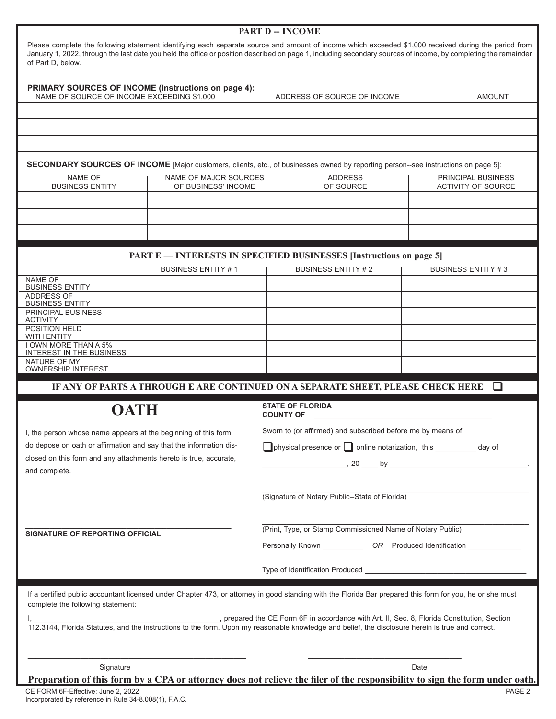| <b>PART D -- INCOME</b><br>Please complete the following statement identifying each separate source and amount of income which exceeded \$1,000 received during the period from<br>January 1, 2022, through the last date you held the office or position described on page 1, including secondary sources of income, by completing the remainder<br>of Part D. below. |                                                                   |                                                |                                                                           |  |                                                        |  |
|------------------------------------------------------------------------------------------------------------------------------------------------------------------------------------------------------------------------------------------------------------------------------------------------------------------------------------------------------------------------|-------------------------------------------------------------------|------------------------------------------------|---------------------------------------------------------------------------|--|--------------------------------------------------------|--|
| PRIMARY SOURCES OF INCOME (Instructions on page 4):<br>NAME OF SOURCE OF INCOME EXCEEDING \$1,000<br>ADDRESS OF SOURCE OF INCOME                                                                                                                                                                                                                                       |                                                                   |                                                |                                                                           |  | <b>AMOUNT</b>                                          |  |
|                                                                                                                                                                                                                                                                                                                                                                        |                                                                   |                                                |                                                                           |  |                                                        |  |
|                                                                                                                                                                                                                                                                                                                                                                        |                                                                   |                                                |                                                                           |  |                                                        |  |
| SECONDARY SOURCES OF INCOME [Major customers, clients, etc., of businesses owned by reporting person--see instructions on page 5]:                                                                                                                                                                                                                                     |                                                                   |                                                |                                                                           |  |                                                        |  |
| NAME OF<br><b>BUSINESS ENTITY</b>                                                                                                                                                                                                                                                                                                                                      | NAME OF MAJOR SOURCES<br>OF BUSINESS' INCOME                      |                                                | <b>ADDRESS</b><br>OF SOURCE                                               |  | <b>PRINCIPAL BUSINESS</b><br><b>ACTIVITY OF SOURCE</b> |  |
|                                                                                                                                                                                                                                                                                                                                                                        |                                                                   |                                                |                                                                           |  |                                                        |  |
|                                                                                                                                                                                                                                                                                                                                                                        |                                                                   |                                                |                                                                           |  |                                                        |  |
|                                                                                                                                                                                                                                                                                                                                                                        |                                                                   |                                                |                                                                           |  |                                                        |  |
|                                                                                                                                                                                                                                                                                                                                                                        |                                                                   |                                                | PART E — INTERESTS IN SPECIFIED BUSINESSES [Instructions on page 5]       |  |                                                        |  |
| NAME OF<br><b>BUSINESS ENTITY</b>                                                                                                                                                                                                                                                                                                                                      | <b>BUSINESS ENTITY #1</b>                                         |                                                | <b>BUSINESS ENTITY #2</b>                                                 |  | <b>BUSINESS ENTITY #3</b>                              |  |
| ADDRESS OF<br><b>BUSINESS ENTITY</b>                                                                                                                                                                                                                                                                                                                                   |                                                                   |                                                |                                                                           |  |                                                        |  |
| PRINCIPAL BUSINESS<br><b>ACTIVITY</b>                                                                                                                                                                                                                                                                                                                                  |                                                                   |                                                |                                                                           |  |                                                        |  |
| POSITION HELD<br>WITH ENTITY                                                                                                                                                                                                                                                                                                                                           |                                                                   |                                                |                                                                           |  |                                                        |  |
| I OWN MORE THAN A 5%<br>INTEREST IN THE BUSINESS                                                                                                                                                                                                                                                                                                                       |                                                                   |                                                |                                                                           |  |                                                        |  |
| NATURE OF MY<br><b>OWNERSHIP INTEREST</b>                                                                                                                                                                                                                                                                                                                              |                                                                   |                                                |                                                                           |  |                                                        |  |
| IF ANY OF PARTS A THROUGH E ARE CONTINUED ON A SEPARATE SHEET, PLEASE CHECK HERE                                                                                                                                                                                                                                                                                       |                                                                   |                                                |                                                                           |  |                                                        |  |
| <b>OATH</b>                                                                                                                                                                                                                                                                                                                                                            |                                                                   |                                                | <b>STATE OF FLORIDA</b><br><b>COUNTY OF</b>                               |  |                                                        |  |
| I, the person whose name appears at the beginning of this form,                                                                                                                                                                                                                                                                                                        |                                                                   |                                                | Sworn to (or affirmed) and subscribed before me by means of               |  |                                                        |  |
| do depose on oath or affirmation and say that the information dis-                                                                                                                                                                                                                                                                                                     |                                                                   |                                                | $\Box$ physical presence or $\Box$ online notarization, this day of       |  |                                                        |  |
| and complete.                                                                                                                                                                                                                                                                                                                                                          | closed on this form and any attachments hereto is true, accurate, |                                                |                                                                           |  |                                                        |  |
|                                                                                                                                                                                                                                                                                                                                                                        |                                                                   | (Signature of Notary Public--State of Florida) |                                                                           |  |                                                        |  |
| SIGNATURE OF REPORTING OFFICIAL                                                                                                                                                                                                                                                                                                                                        |                                                                   |                                                | (Print, Type, or Stamp Commissioned Name of Notary Public)                |  |                                                        |  |
|                                                                                                                                                                                                                                                                                                                                                                        |                                                                   |                                                | Personally Known _______________ OR Produced Identification _____________ |  |                                                        |  |
|                                                                                                                                                                                                                                                                                                                                                                        |                                                                   |                                                |                                                                           |  |                                                        |  |
| If a certified public accountant licensed under Chapter 473, or attorney in good standing with the Florida Bar prepared this form for you, he or she must<br>complete the following statement:                                                                                                                                                                         |                                                                   |                                                |                                                                           |  |                                                        |  |
| 112.3144, Florida Statutes, and the instructions to the form. Upon my reasonable knowledge and belief, the disclosure herein is true and correct.                                                                                                                                                                                                                      |                                                                   |                                                |                                                                           |  |                                                        |  |
| Date<br>Signature<br>Preparation of this form by a CPA or attorney does not relieve the filer of the responsibility to sign the form under oath.<br>CE FORM 6F-Effective: June 2, 2022<br>PAGE 2                                                                                                                                                                       |                                                                   |                                                |                                                                           |  |                                                        |  |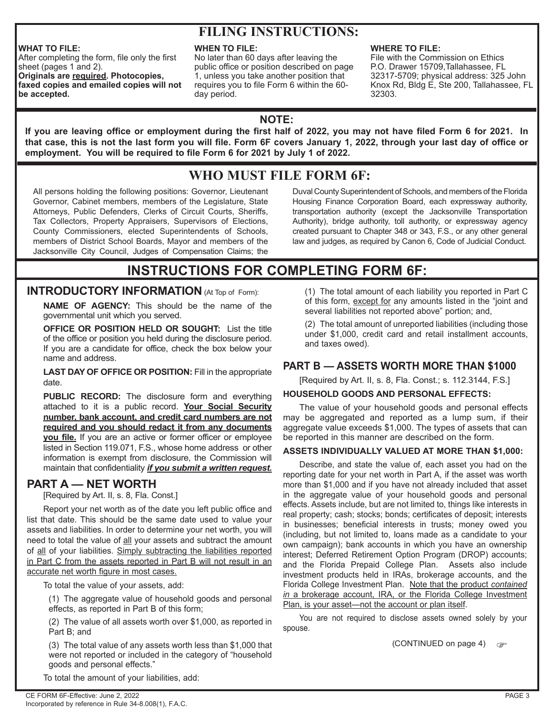## **FILING INSTRUCTIONS:**

#### **WHAT TO FILE:**

After completing the form, file only the first sheet (pages 1 and 2). **Originals are required. Photocopies, faxed copies and emailed copies will not be accepted.**

#### **WHEN TO FILE:**

No later than 60 days after leaving the public office or position described on page 1, unless you take another position that requires you to file Form 6 within the 60 day period.

#### **WHERE TO FILE:**

File with the Commission on Ethics P.O. Drawer 15709,Tallahassee, FL 32317-5709; physical address: 325 John Knox Rd, Bldg E, Ste 200, Tallahassee, FL 32303.

### **NOTE:**

**If you are leaving office or employment during the first half of 2022, you may not have filed Form 6 for 2021. In that case, this is not the last form you will file. Form 6F covers January 1, 2022, through your last day of office or employment. You will be required to file Form 6 for 2021 by July 1 of 2022.**

## **WHO MUST FILE FORM 6F:**

All persons holding the following positions: Governor, Lieutenant Governor, Cabinet members, members of the Legislature, State Attorneys, Public Defenders, Clerks of Circuit Courts, Sheriffs, Tax Collectors, Property Appraisers, Supervisors of Elections, County Commissioners, elected Superintendents of Schools, members of District School Boards, Mayor and members of the Jacksonville City Council, Judges of Compensation Claims; the

Duval County Superintendent of Schools, and members of the Florida Housing Finance Corporation Board, each expressway authority, transportation authority (except the Jacksonville Transportation Authority), bridge authority, toll authority, or expressway agency created pursuant to Chapter 348 or 343, F.S., or any other general law and judges, as required by Canon 6, Code of Judicial Conduct.

## **INSTRUCTIONS FOR COMPLETING FORM 6F:**

#### **INTRODUCTORY INFORMATION** (At Top of Form):

**NAME OF AGENCY:** This should be the name of the governmental unit which you served.

**OFFICE OR POSITION HELD OR SOUGHT:** List the title of the office or position you held during the disclosure period. If you are a candidate for office, check the box below your name and address.

LAST DAY OF OFFICE OR POSITION: Fill in the appropriate date.

**PUBLIC RECORD:** The disclosure form and everything attached to it is a public record. **Your Social Security number, bank account, and credit card numbers are not required and you should redact it from any documents you file.** If you are an active or former officer or employee listed in Section 119.071, F.S., whose home address or other information is exempt from disclosure, the Commission will maintain that confidentiality *if you submit a written request.*

### **PART A — NET WORTH**

[Required by Art. II, s. 8, Fla. Const.]

Report your net worth as of the date you left public office and list that date. This should be the same date used to value your assets and liabilities. In order to determine your net worth, you will need to total the value of all your assets and subtract the amount of all of your liabilities. Simply subtracting the liabilities reported in Part C from the assets reported in Part B will not result in an accurate net worth figure in most cases.

To total the value of your assets, add:

(1) The aggregate value of household goods and personal effects, as reported in Part B of this form;

(2) The value of all assets worth over \$1,000, as reported in Part B; and

(3) The total value of any assets worth less than \$1,000 that were not reported or included in the category of "household goods and personal effects."

To total the amount of your liabilities, add:

(1) The total amount of each liability you reported in Part C of this form, except for any amounts listed in the "joint and several liabilities not reported above" portion; and,

(2) The total amount of unreported liabilities (including those under \$1,000, credit card and retail installment accounts, and taxes owed).

### **PART B — ASSETS WORTH MORE THAN \$1000**

[Required by Art. II, s. 8, Fla. Const.; s. 112.3144, F.S.]

#### **HOUSEHOLD GOODS AND PERSONAL EFFECTS:**

 The value of your household goods and personal effects may be aggregated and reported as a lump sum, if their aggregate value exceeds \$1,000. The types of assets that can be reported in this manner are described on the form.

#### **ASSETS INDIVIDUALLY VALUED AT MORE THAN \$1,000:**

Describe, and state the value of, each asset you had on the reporting date for your net worth in Part A, if the asset was worth more than \$1,000 and if you have not already included that asset in the aggregate value of your household goods and personal effects. Assets include, but are not limited to, things like interests in real property; cash; stocks; bonds; certificates of deposit; interests in businesses; beneficial interests in trusts; money owed you (including, but not limited to, loans made as a candidate to your own campaign); bank accounts in which you have an ownership interest; Deferred Retirement Option Program (DROP) accounts; and the Florida Prepaid College Plan. Assets also include investment products held in IRAs, brokerage accounts, and the Florida College Investment Plan. Note that the product *contained in* a brokerage account, IRA, or the Florida College Investment Plan, is your asset—not the account or plan itself.

 You are not required to disclose assets owned solely by your spouse.

(CONTINUED on page 4)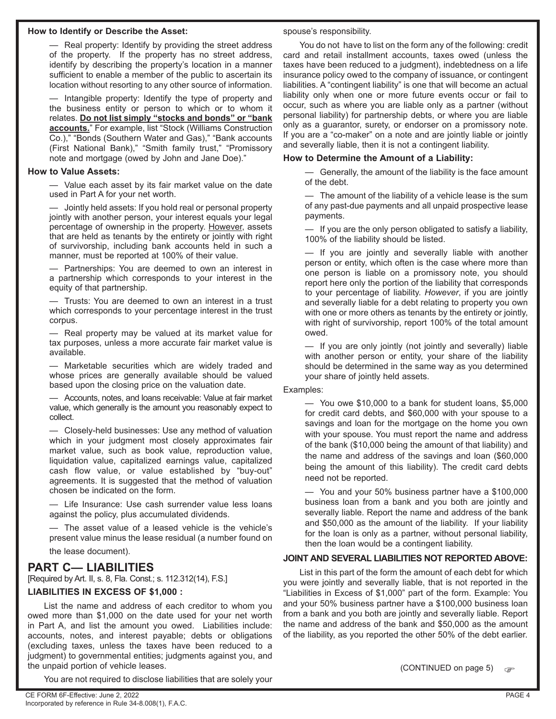#### **How to Identify or Describe the Asset:**

— Real property: Identify by providing the street address of the property. If the property has no street address, identify by describing the property's location in a manner sufficient to enable a member of the public to ascertain its location without resorting to any other source of information.

— Intangible property: Identify the type of property and the business entity or person to which or to whom it relates. **Do not list simply "stocks and bonds" or "bank accounts.**" For example, list "Stock (Williams Construction Co.)," "Bonds (Southern Water and Gas)," "Bank accounts (First National Bank)," "Smith family trust," "Promissory note and mortgage (owed by John and Jane Doe)."

#### **How to Value Assets:**

— Value each asset by its fair market value on the date used in Part A for your net worth.

— Jointly held assets: If you hold real or personal property jointly with another person, your interest equals your legal percentage of ownership in the property. However, assets that are held as tenants by the entirety or jointly with right of survivorship, including bank accounts held in such a manner, must be reported at 100% of their value.

— Partnerships: You are deemed to own an interest in a partnership which corresponds to your interest in the equity of that partnership.

— Trusts: You are deemed to own an interest in a trust which corresponds to your percentage interest in the trust corpus.

— Real property may be valued at its market value for tax purposes, unless a more accurate fair market value is available.

— Marketable securities which are widely traded and whose prices are generally available should be valued based upon the closing price on the valuation date.

— Accounts, notes, and loans receivable: Value at fair market value, which generally is the amount you reasonably expect to collect.

— Closely-held businesses: Use any method of valuation which in your judgment most closely approximates fair market value, such as book value, reproduction value, liquidation value, capitalized earnings value, capitalized cash flow value, or value established by "buy-out" agreements. It is suggested that the method of valuation chosen be indicated on the form.

— Life Insurance: Use cash surrender value less loans against the policy, plus accumulated dividends.

- The asset value of a leased vehicle is the vehicle's present value minus the lease residual (a number found on the lease document).

### **PART C— LIABILITIES**

[Required by Art. II, s. 8, Fla. Const.; s. 112.312(14), F.S.]

#### **LIABILITIES IN EXCESS OF \$1,000 :**

 List the name and address of each creditor to whom you owed more than \$1,000 on the date used for your net worth in Part A, and list the amount you owed. Liabilities include: accounts, notes, and interest payable; debts or obligations (excluding taxes, unless the taxes have been reduced to a judgment) to governmental entities; judgments against you, and the unpaid portion of vehicle leases.

You are not required to disclose liabilities that are solely your

#### spouse's responsibility.

 You do not have to list on the form any of the following: credit card and retail installment accounts, taxes owed (unless the taxes have been reduced to a judgment), indebtedness on a life insurance policy owed to the company of issuance, or contingent liabilities. A "contingent liability" is one that will become an actual liability only when one or more future events occur or fail to occur, such as where you are liable only as a partner (without personal liability) for partnership debts, or where you are liable only as a guarantor, surety, or endorser on a promissory note. If you are a "co-maker" on a note and are jointly liable or jointly and severally liable, then it is not a contingent liability.

#### **How to Determine the Amount of a Liability:**

— Generally, the amount of the liability is the face amount of the debt.

— The amount of the liability of a vehicle lease is the sum of any past-due payments and all unpaid prospective lease payments.

— If you are the only person obligated to satisfy a liability, 100% of the liability should be listed.

— If you are jointly and severally liable with another person or entity, which often is the case where more than one person is liable on a promissory note, you should report here only the portion of the liability that corresponds to your percentage of liability. *However*, if you are jointly and severally liable for a debt relating to property you own with one or more others as tenants by the entirety or jointly, with right of survivorship, report 100% of the total amount owed.

— If you are only jointly (not jointly and severally) liable with another person or entity, your share of the liability should be determined in the same way as you determined your share of jointly held assets.

Examples:

— You owe \$10,000 to a bank for student loans, \$5,000 for credit card debts, and \$60,000 with your spouse to a savings and loan for the mortgage on the home you own with your spouse. You must report the name and address of the bank (\$10,000 being the amount of that liability) and the name and address of the savings and loan (\$60,000 being the amount of this liability). The credit card debts need not be reported.

— You and your 50% business partner have a \$100,000 business loan from a bank and you both are jointly and severally liable. Report the name and address of the bank and \$50,000 as the amount of the liability. If your liability for the loan is only as a partner, without personal liability, then the loan would be a contingent liability.

#### **JOINT AND SEVERAL LIABILITIES NOT REPORTED ABOVE:**

 List in this part of the form the amount of each debt for which you were jointly and severally liable, that is not reported in the "Liabilities in Excess of \$1,000" part of the form. Example: You and your 50% business partner have a \$100,000 business loan from a bank and you both are jointly and severally liable. Report the name and address of the bank and \$50,000 as the amount of the liability, as you reported the other 50% of the debt earlier.

(CONTINUED on page 5)  $_{\text{CP}}$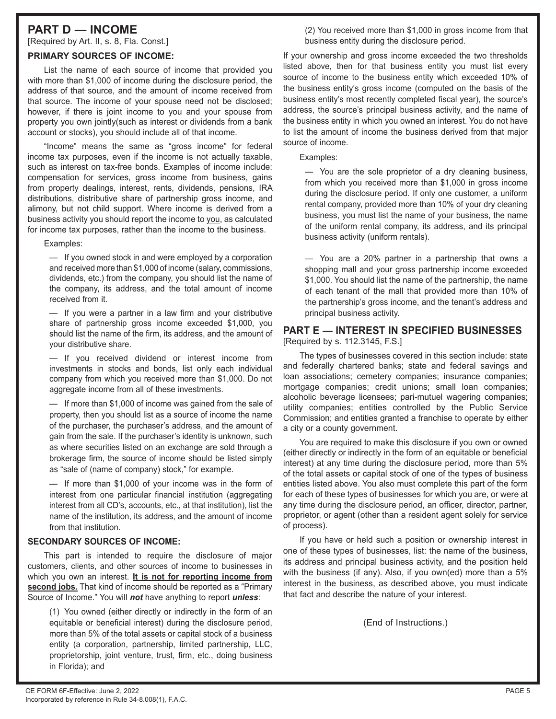## **PART D — INCOME**

[Required by Art. II, s. 8, Fla. Const.]

#### **PRIMARY SOURCES OF INCOME:**

List the name of each source of income that provided you with more than \$1,000 of income during the disclosure period, the address of that source, and the amount of income received from that source. The income of your spouse need not be disclosed; however, if there is joint income to you and your spouse from property you own jointly(such as interest or dividends from a bank account or stocks), you should include all of that income.

 "Income" means the same as "gross income" for federal income tax purposes, even if the income is not actually taxable, such as interest on tax-free bonds. Examples of income include: compensation for services, gross income from business, gains from property dealings, interest, rents, dividends, pensions, IRA distributions, distributive share of partnership gross income, and alimony, but not child support. Where income is derived from a business activity you should report the income to you, as calculated for income tax purposes, rather than the income to the business.

Examples:

— If you owned stock in and were employed by a corporation and received more than \$1,000 of income (salary, commissions, dividends, etc.) from the company, you should list the name of the company, its address, and the total amount of income received from it.

— If you were a partner in a law firm and your distributive share of partnership gross income exceeded \$1,000, you should list the name of the firm, its address, and the amount of your distributive share.

— If you received dividend or interest income from investments in stocks and bonds, list only each individual company from which you received more than \$1,000. Do not aggregate income from all of these investments.

— If more than \$1,000 of income was gained from the sale of property, then you should list as a source of income the name of the purchaser, the purchaser's address, and the amount of gain from the sale. If the purchaser's identity is unknown, such as where securities listed on an exchange are sold through a brokerage firm, the source of income should be listed simply as "sale of (name of company) stock," for example.

— If more than \$1,000 of your income was in the form of interest from one particular financial institution (aggregating interest from all CD's, accounts, etc., at that institution), list the name of the institution, its address, and the amount of income from that institution.

#### **SECONDARY SOURCES OF INCOME:**

 This part is intended to require the disclosure of major customers, clients, and other sources of income to businesses in which you own an interest. **It is not for reporting income from second jobs.** That kind of income should be reported as a "Primary Source of Income." You will *not* have anything to report *unless*:

(1) You owned (either directly or indirectly in the form of an equitable or beneficial interest) during the disclosure period, more than 5% of the total assets or capital stock of a business entity (a corporation, partnership, limited partnership, LLC, proprietorship, joint venture, trust, firm, etc., doing business in Florida); and

(2) You received more than \$1,000 in gross income from that business entity during the disclosure period.

If your ownership and gross income exceeded the two thresholds listed above, then for that business entity you must list every source of income to the business entity which exceeded 10% of the business entity's gross income (computed on the basis of the business entity's most recently completed fiscal year), the source's address, the source's principal business activity, and the name of the business entity in which you owned an interest. You do not have to list the amount of income the business derived from that major source of income.

Examples:

— You are the sole proprietor of a dry cleaning business, from which you received more than \$1,000 in gross income during the disclosure period. If only one customer, a uniform rental company, provided more than 10% of your dry cleaning business, you must list the name of your business, the name of the uniform rental company, its address, and its principal business activity (uniform rentals).

— You are a 20% partner in a partnership that owns a shopping mall and your gross partnership income exceeded \$1,000. You should list the name of the partnership, the name of each tenant of the mall that provided more than 10% of the partnership's gross income, and the tenant's address and principal business activity.

#### **PART E — INTEREST IN SPECIFIED BUSINESSES** [Required by s. 112.3145, F.S.]

The types of businesses covered in this section include: state and federally chartered banks; state and federal savings and loan associations; cemetery companies; insurance companies; mortgage companies; credit unions; small loan companies; alcoholic beverage licensees; pari-mutuel wagering companies; utility companies; entities controlled by the Public Service Commission; and entities granted a franchise to operate by either a city or a county government.

 You are required to make this disclosure if you own or owned (either directly or indirectly in the form of an equitable or beneficial interest) at any time during the disclosure period, more than 5% of the total assets or capital stock of one of the types of business entities listed above. You also must complete this part of the form for each of these types of businesses for which you are, or were at any time during the disclosure period, an officer, director, partner, proprietor, or agent (other than a resident agent solely for service of process).

 If you have or held such a position or ownership interest in one of these types of businesses, list: the name of the business, its address and principal business activity, and the position held with the business (if any). Also, if you own(ed) more than a 5% interest in the business, as described above, you must indicate that fact and describe the nature of your interest.

(End of Instructions.)